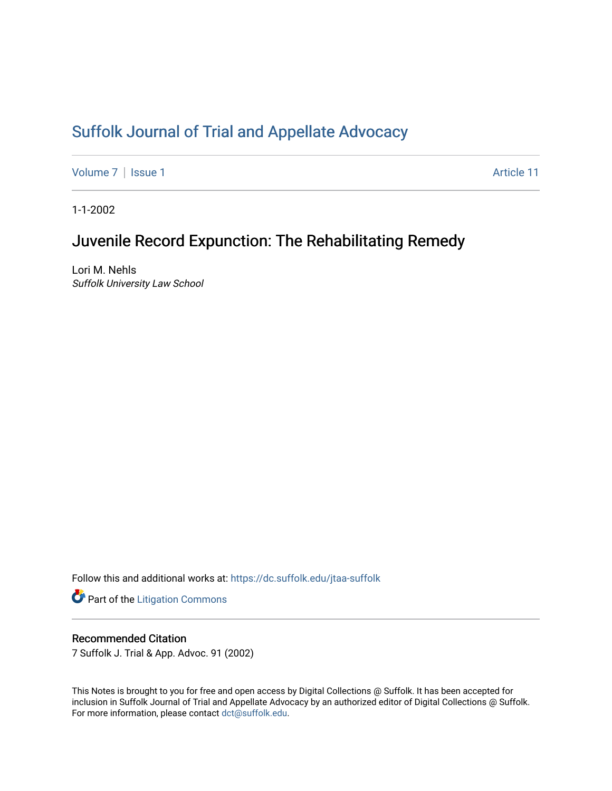# [Suffolk Journal of Trial and Appellate Advocacy](https://dc.suffolk.edu/jtaa-suffolk)

[Volume 7](https://dc.suffolk.edu/jtaa-suffolk/vol7) | [Issue 1](https://dc.suffolk.edu/jtaa-suffolk/vol7/iss1) Article 11

1-1-2002

# Juvenile Record Expunction: The Rehabilitating Remedy

Lori M. Nehls Suffolk University Law School

Follow this and additional works at: [https://dc.suffolk.edu/jtaa-suffolk](https://dc.suffolk.edu/jtaa-suffolk?utm_source=dc.suffolk.edu%2Fjtaa-suffolk%2Fvol7%2Fiss1%2F11&utm_medium=PDF&utm_campaign=PDFCoverPages) 

**Part of the [Litigation Commons](https://network.bepress.com/hgg/discipline/910?utm_source=dc.suffolk.edu%2Fjtaa-suffolk%2Fvol7%2Fiss1%2F11&utm_medium=PDF&utm_campaign=PDFCoverPages)** 

# Recommended Citation

7 Suffolk J. Trial & App. Advoc. 91 (2002)

This Notes is brought to you for free and open access by Digital Collections @ Suffolk. It has been accepted for inclusion in Suffolk Journal of Trial and Appellate Advocacy by an authorized editor of Digital Collections @ Suffolk. For more information, please contact [dct@suffolk.edu](mailto:dct@suffolk.edu).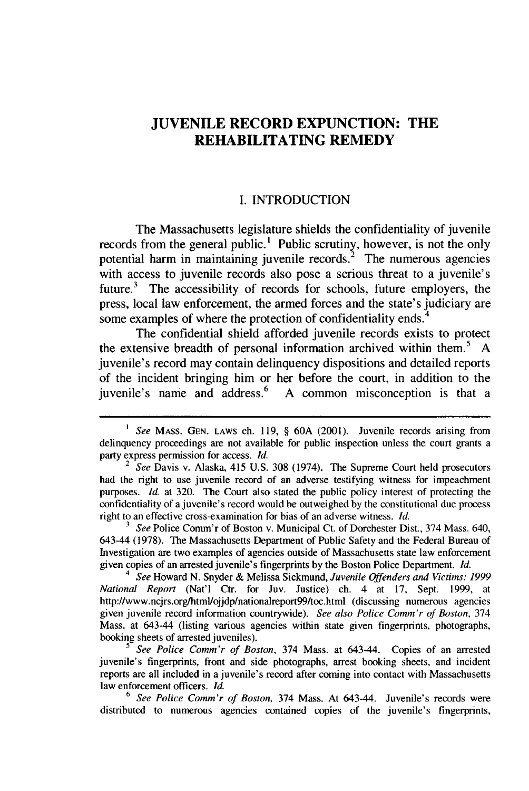# **JUVENILE RECORD EXPUNCTION: THE REHABILITATING REMEDY**

#### **I. INTRODUCTION**

The Massachusetts legislature shields the confidentiality of juvenile records from the general public.' Public scrutiny, however, is not the only potential harm in maintaining juvenile records.<sup>2</sup> The numerous agencies with access to juvenile records also pose a serious threat to a juvenile's future.<sup>3</sup> The accessibility of records for schools, future employers, the press, local law enforcement, the armed forces and the state's judiciary are some examples of where the protection of confidentiality ends.<sup>4</sup>

The confidential shield afforded juvenile records exists to protect the extensive breadth of personal information archived within them.5 **A** juvenile's record may contain delinquency dispositions and detailed reports of the incident bringing him or her before the court, in addition to the juvenile's name and address.6 **A** common misconception is that a

*5 See Police Comm'r of Boston,* 374 Mass. at 643-44. Copies of an arrested juvenile's fingerprints, front and side photographs, arrest booking sheets, and incident reports are all included in a juvenile's record after coming into contact with Massachusetts law enforcement officers. *Id.*

6 *See Police Comm'r of Boston,* 374 Mass. At 643-44. Juvenile's records were distributed to numerous agencies contained copies of the juvenile's fingerprints,

*<sup>1</sup> See* **MASS. GEN. LAWS** ch. **119,** § **60A** (2001). Juvenile records arising from delinquency proceedings are not available for public inspection unless the court grants a party express permission for access. *Id.*

<sup>2</sup>*See* Davis v. Alaska, 415 **U.S. 308** (1974). The Supreme Court held prosecutors had the right to use juvenile record of an adverse testifying witness for impeachment purposes. *Id.* at **320.** The Court also stated the public policy interest of protecting the confidentiality of a juvenile's record would be outweighed **by** the constitutional due process right to an effective cross-examination for bias of an adverse witness. *Id.*

*<sup>3</sup>See* Police Comm'r of Boston v. Municipal Ct. of Dorchester Dist., 374 Mass. 640, 643-44 **(1978).** The Massachusetts Department of Public Safety and the Federal Bureau of Investigation are two examples of agencies outside of Massachusetts state law enforcement given copies of an arrested juvenile's fingerprints **by** the Boston Police Department. *Id.*

*<sup>4</sup> See* Howard **N.** Snyder **&** Melissa Sickmund, *Juvenile Offenders and Victims: 1999 National Report* (Nat'l Ctr. for Juv. Justice) ch. 4 at **17,** Sept. **1999,** at http://www.ncjrs.org/html/ojjdp/nationalreport99/toc.html (discussing numerous agencies given juvenile record information countrywide). *See also Police Comm'r of Boston,* 374 Mass. at 643-44 (listing various agencies within state given fingerprints, photographs, booking sheets of arrested juveniles).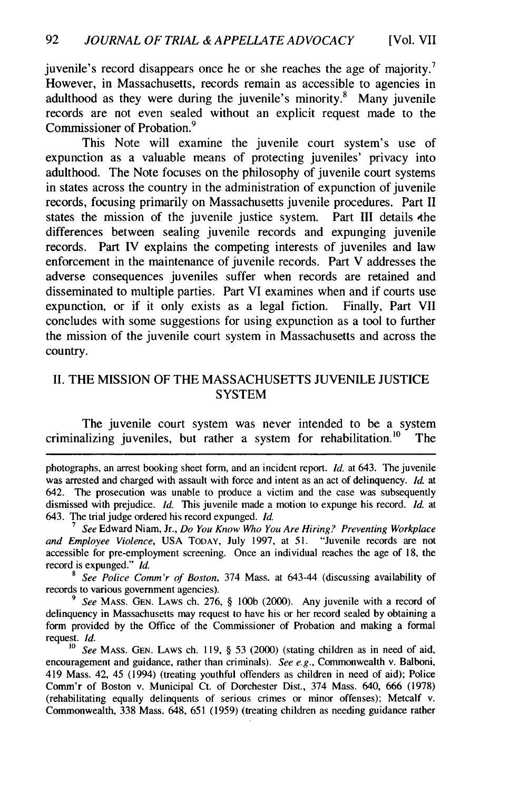juvenile's record disappears once he or she reaches the age of majority.<sup>7</sup> However, in Massachusetts, records remain as accessible to agencies in adulthood as they were during the juvenile's minority. $8$  Many juvenile records are not even sealed without an explicit request made to the Commissioner of Probation. <sup>9</sup>

This Note will examine the juvenile court system's use of expunction as a valuable means of protecting juveniles' privacy into adulthood. The Note focuses on the philosophy of juvenile court systems in states across the country in the administration of expunction of juvenile records, focusing primarily on Massachusetts juvenile procedures. Part II states the mission of the juvenile justice system. Part III details the differences between sealing juvenile records and expunging juvenile records. Part IV explains the competing interests of juveniles and law enforcement in the maintenance of juvenile records. Part V addresses the adverse consequences juveniles suffer when records are retained and disseminated to multiple parties. Part VI examines when and if courts use expunction, or if it only exists as a legal fiction. Finally, Part VII concludes with some suggestions for using expunction as a tool to further the mission of the juvenile court system in Massachusetts and across the country.

### II. THE MISSION OF THE MASSACHUSETTS JUVENILE JUSTICE **SYSTEM**

The juvenile court system was never intended to be a system criminalizing juveniles, but rather a system for rehabilitation.<sup>10</sup> The

*<sup>8</sup>See Police Comm'r of Boston,* 374 Mass. at 643-44 (discussing availability of records to various government agencies).

*9 See* **MASS. GEN.** LAWS ch. 276, § **100b** (2000). Any juvenile with a record of delinquency in Massachusetts may request to have his or her record sealed by obtaining a form provided by the Office of the Commissioner of Probation and making a formal request. *Id.*

photographs, an arrest booking sheet form, and an incident report. *Id.* at 643. The juvenile was arrested and charged with assault with force and intent as an act of delinquency. *Id.* at 642. The prosecution was unable to produce a victim and the case was subsequently dismissed with prejudice. *Id.* This juvenile made a motion to expunge his record. *Id.* at 643. The trial judge ordered his record expunged. *Id.*

*<sup>7</sup> See* Edward Niam, Jr., *Do You Know Who You Are Hiring? Preventing Workplace and Employee Violence,* USA TODAY, July 1997, at 51. "Juvenile records are not accessible for pre-employment screening. Once an individual reaches the age of 18, the record is expunged." *Id.*

**<sup>10</sup>** *See* **MASS. GEN.** LAWS ch. 119, § 53 (2000) (stating children as in need of aid, encouragement and guidance, rather than criminals). *See e.g.,* Commonwealth v. Balboni, 419 Mass. 42, 45 (1994) (treating youthful offenders as children in need of aid); Police Comm'r of Boston v. Municipal Ct. of Dorchester Dist., 374 Mass. 640, 666 (1978) (rehabilitating equally delinquents of serious crimes or minor offenses); Metcalf v. Commonwealth, 338 Mass. 648, 651 (1959) (treating children as needing guidance rather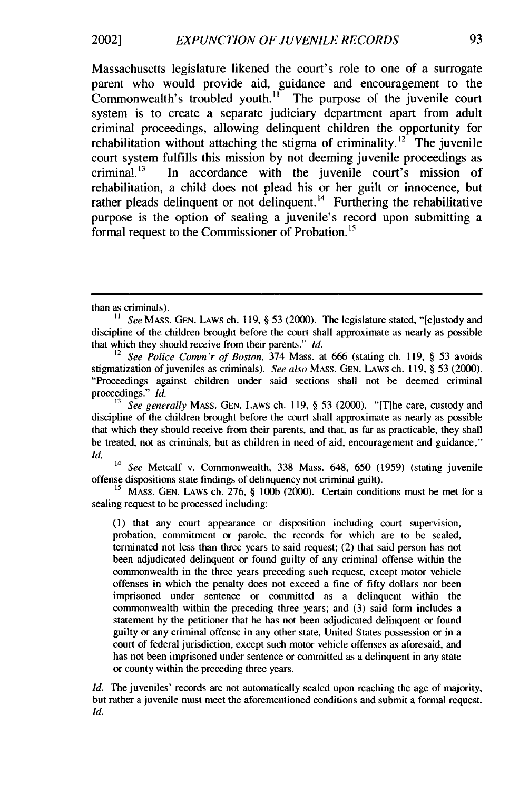#### *EXPUNCTION OF JUVENILE RECORDS* 2002]

Massachusetts legislature likened the court's role to one of a surrogate parent who would provide aid, guidance and encouragement to the Commonwealth's troubled youth." The purpose of the juvenile court system is to create a separate judiciary department apart from adult criminal proceedings, allowing delinquent children the opportunity for rehabilitation without attaching the stigma of criminality.<sup>12</sup> The juvenile court system fulfills this mission by not deeming juvenile proceedings as criminal. $^{13}$  In accordance with the juvenile court's mission of rehabilitation, a child does not plead his or her guilt or innocence, but rather pleads delinquent or not delinquent.<sup>14</sup> Furthering the rehabilitative purpose is the option of sealing a juvenile's record upon submitting a formal request to the Commissioner of Probation.<sup>15</sup>

 $14$  See Metcalf v. Commonwealth, 338 Mass. 648, 650 (1959) (stating juvenile offense dispositions state findings of delinquency not criminal guilt).

<sup>15</sup> MASS. GEN. LAWS ch. 276, § 100b (2000). Certain conditions must be met for a sealing request to be processed including:

**(1)** that any court appearance or disposition including court supervision, probation, commitment or parole, the records for which are to be sealed, terminated not less than three years to said request; (2) that said person has not been adjudicated delinquent or found guilty of any criminal offense within the commonwealth in the three years preceding such request, except motor vehicle offenses in which the penalty does not exceed a fine of fifty dollars nor been imprisoned under sentence or committed as a delinquent within the commonwealth within the preceding three years; and (3) said form includes a statement by the petitioner that he has not been adjudicated delinquent or found guilty or any criminal offense in any other state, United States possession or in a court of federal jurisdiction, except such motor vehicle offenses as aforesaid, and has not been imprisoned under sentence or committed as a delinquent in any state or county within the preceding three years.

*Id.* The juveniles' records are not automatically sealed upon reaching the age of majority, but rather a juvenile must meet the aforementioned conditions and submit a formal request. Id.

than as criminals).

See MASS. GEN. Laws ch. 119, § 53 (2000). The legislature stated, "[c]ustody and discipline of the children brought before the court shall approximate as nearly as possible that which they should receive from their parents." *Id.*

<sup>12</sup>*See Police Comm'r of* Boston, 374 Mass. at 666 (stating ch. 119, § 53 avoids stigmatization of juveniles as criminals). See also MASS. GEN. LAWS ch. 119, § 53 (2000). "Proceedings against children under said sections shall not be deemed criminal proceedings." *Id.*

<sup>&</sup>lt;sup>13</sup> See generally MASS. GEN. LAWS ch. 119, § 53 (2000). "[T]he care, custody and discipline of the children brought before the court shall approximate as nearly as possible that which they should receive from their parents, and that, as far as practicable, they shall be treated, not as criminals, but as children in need of aid, encouragement and guidance." *Id.*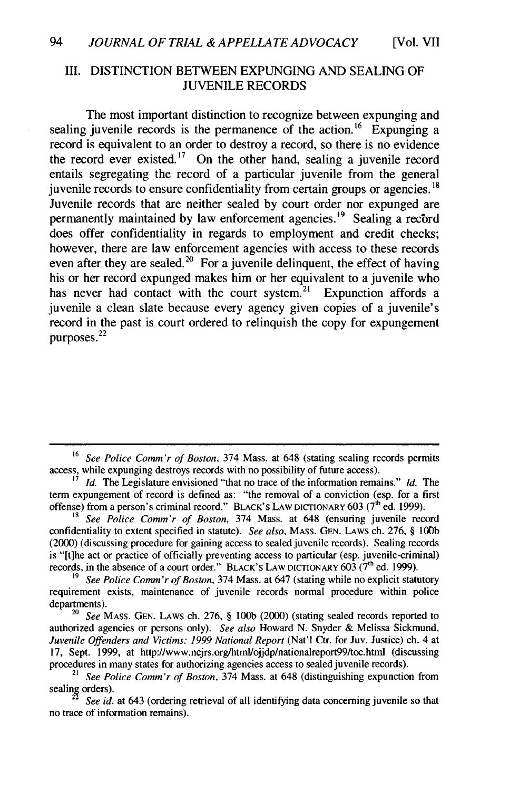#### III. DISTINCTION BETWEEN EXPUNGING AND SEALING OF JUVENILE RECORDS

The most important distinction to recognize between expunging and sealing juvenile records is the permanence of the action.<sup>16</sup> Expunging a record is equivalent to an order to destroy a record, so there is no evidence the record ever existed.<sup>17</sup> On the other hand, sealing a juvenile record entails segregating the record of a particular juvenile from the general juvenile records to ensure confidentiality from certain groups or agencies. **18** Juvenile records that are neither sealed by court order nor expunged are permanently maintained by law enforcement agencies.<sup>19</sup> Sealing a record does offer confidentiality in regards to employment and credit checks; however, there are law enforcement agencies with access to these records even after they are sealed.<sup>20</sup> For a juvenile delinquent, the effect of having his or her record expunged makes him or her equivalent to a juvenile who has never had contact with the court system.<sup>21</sup> Expunction affords a juvenile a clean slate because every agency given copies of a juvenile's record in the past is court ordered to relinquish the copy for expungement purposes.<sup>22</sup>

<sup>16</sup>*See Police Comm'r of Boston,* 374 Mass. at 648 (stating sealing records permits access, while expunging destroys records with no possibility of future access).

*Id.* The Legislature envisioned "that no trace of the information remains." *Id.* The term expungement of record is defined as: "the removal of a conviction (esp. for a first offense) from a person's criminal record." BLACK'S LAW DICTIONARY 603 (7<sup>th</sup> ed. 1999).<br><sup>18</sup> *See Police Comm'r of Boston*, 374 Mass. at 648 (ensuring juvenile record

confidentiality to extent specified in statute). *See also,* **MASS. GEN.** LAWS ch. 276, § **100b** (2000) (discussing procedure for gaining access to sealed juvenile records). Sealing records is "ft]he act or practice of officially preventing access to particular (esp. juvenile-criminal) records, in the absence of a court order." BLACK's LAW DICTIONARY  $603$  (7<sup>th</sup> ed. 1999).

**<sup>19</sup>***See Police Comm'r of Boston,* 374 Mass. at 647 (stating while no explicit statutory requirement exists, maintenance of juvenile records normal procedure within police departments).

<sup>20</sup>*See* **MASS. GEN.** LAWS ch. 276, § **100b** (2000) (stating sealed records reported to authorized agencies or persons only). *See also* Howard N. Snyder & Melissa Sickmund, *Juvenile Offenders and Victims: 1999 National Report* (Nat'l Ctr. for Juv. Justice) ch. 4 at 17, Sept. 1999, at http://www.ncjrs.org/html/ojjdp/nationalreport99/toc.html (discussing procedures in many states for authorizing agencies access to sealed juvenile records).

*<sup>21</sup> See Police Comm'r of Boston,* 374 Mass. at 648 (distinguishing expunction from sealing orders).

See id. at 643 (ordering retrieval of all identifying data concerning juvenile so that no trace of information remains).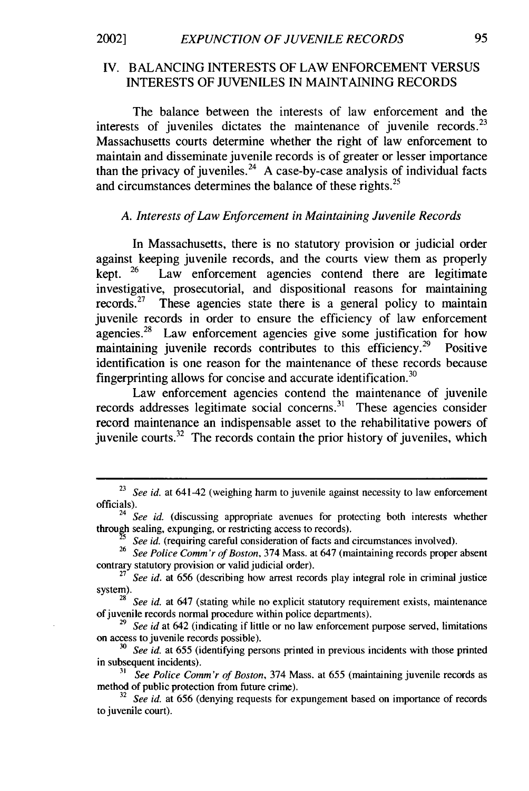### IV. BALANCING INTERESTS OF LAW ENFORCEMENT VERSUS INTERESTS OF JUVENILES IN MAINTAINING RECORDS

The balance between the interests of law enforcement and the interests of juveniles dictates the maintenance of juvenile records. $^{23}$ Massachusetts courts determine whether the right of law enforcement to maintain and disseminate juvenile records is of greater or lesser importance than the privacy of juveniles.<sup>24</sup> A case-by-case analysis of individual facts and circumstances determines the balance of these rights.<sup>25</sup>

## *A. Interests of Law Enforcement in Maintaining Juvenile Records*

In Massachusetts, there is no statutory provision or judicial order against keeping juvenile records, and the courts view them as properly kept.  $26$  Law enforcement agencies contend there are legitimate investigative, prosecutorial, and dispositional reasons for maintaining records.<sup>27</sup> These agencies state there is a general policy to maintain juvenile records in order to ensure the efficiency of law enforcement agencies. $28$  Law enforcement agencies give some justification for how maintaining juvenile records contributes to this efficiency.<sup>29</sup> Positive identification is one reason for the maintenance of these records because fingerprinting allows for concise and accurate identification.<sup>30</sup>

Law enforcement agencies contend the maintenance of juvenile records addresses legitimate social concerns.<sup>31</sup> These agencies consider record maintenance an indispensable asset to the rehabilitative powers of juvenile courts. $32$  The records contain the prior history of juveniles, which

<sup>&</sup>lt;sup>23</sup> See id. at 641-42 (weighing harm to juvenile against necessity to law enforcement officials).

<sup>&</sup>lt;sup>24</sup> See id. (discussing appropriate avenues for protecting both interests whether through sealing, expunging, or restricting access to records).

*See id.* (requiring careful consideration of facts and circumstances involved).

**<sup>26</sup>***See Police Comm'r of Boston,* 374 Mass. at 647 (maintaining records proper absent contrary statutory provision or valid judicial order).

<sup>&</sup>lt;sup>27</sup> See id. at 656 (describing how arrest records play integral role in criminal justice system).

**<sup>28</sup>***See id.* at 647 (stating while no explicit statutory requirement exists, maintenance of juvenile records normal procedure within police departments).

*<sup>29</sup>See id* at 642 (indicating if little or no law enforcement purpose served, limitations on access to juvenile records possible).

<sup>&</sup>lt;sup>30</sup> See id. at 655 (identifying persons printed in previous incidents with those printed in subsequent incidents).

*<sup>31</sup>See Police Comm'r of Boston,* 374 Mass. at 655 (maintaining juvenile records as method of public protection from future crime).

<sup>&</sup>lt;sup>32</sup> See id. at 656 (denying requests for expungement based on importance of records to juvenile court).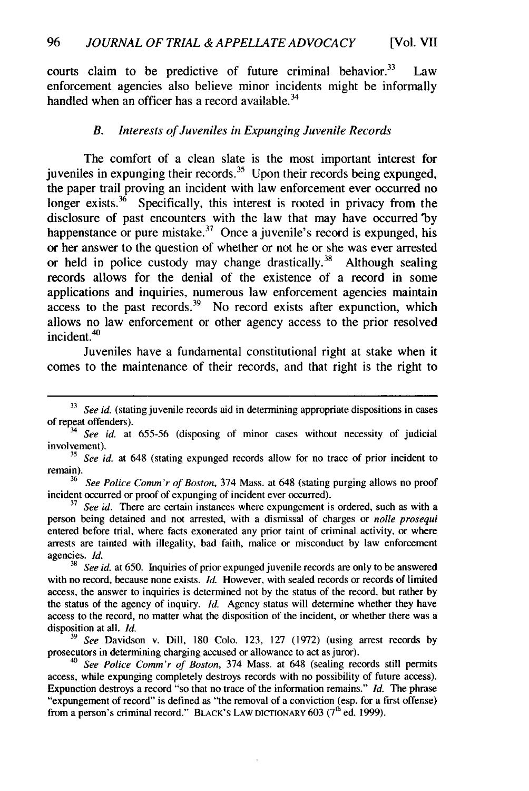courts claim to be predictive of future criminal behavior. $33$  Law enforcement agencies also believe minor incidents might be informally handled when an officer has a record available. $34$ 

#### *B. Interests of Juveniles in Expunging Juvenile Records*

The comfort of a clean slate is the most important interest for juveniles in expunging their records.<sup>35</sup> Upon their records being expunged, the paper trail proving an incident with law enforcement ever occurred no longer exists.  $36$  Specifically, this interest is rooted in privacy from the disclosure of past encounters with the law that may have occurred **'by** happenstance or pure mistake.<sup>37</sup> Once a juvenile's record is expunged, his or her answer to the question of whether or not he or she was ever arrested or held in police custody may change drastically.<sup>38</sup> Although sealing records allows for the denial of the existence of a record in some applications and inquiries, numerous law enforcement agencies maintain  $access$  to the past records.<sup>39</sup> No record exists after expunction, which allows no law enforcement or other agency access to the prior resolved incident.<sup>40</sup>

Juveniles have a fundamental constitutional right at stake when it comes to the maintenance of their records, and that right is the right to

<sup>35</sup> See id. at 648 (stating expunged records allow for no trace of prior incident to remain).

*<sup>36</sup>See Police Comm'r of Boston,* 374 Mass. at 648 (stating purging allows no proof incident occurred or proof of expunging of incident ever occurred).

**<sup>37</sup>***See id.* There are certain instances where expungement is ordered, such as with a person being detained and not arrested, with a dismissal of charges or *nolle prosequi* entered before trial, where facts exonerated any prior taint of criminal activity, or where arrests are tainted with illegality, bad faith, malice or misconduct by law enforcement agencies. *Id.*

**<sup>38</sup>***See id.* at 650. Inquiries of prior expunged juvenile records are only to be answered with no record, because none exists. *Id.* However, with sealed records or records of limited access, the answer to inquiries is determined not by the status of the record, but rather by the status of the agency of inquiry. *Id.* Agency status will determine whether they have access to the record, no matter what the disposition of the incident, or whether there was a disposition at all. *Id.*

**<sup>39</sup>***See* Davidson v. Dill, 180 Colo. 123, 127 (1972) (using arrest records by prosecutors in determining charging accused or allowance to act as juror).

*<sup>40</sup>See Police Comm'r of Boston,* 374 Mass. at 648 (sealing records still permits access, while expunging completely destroys records with no possibility of future access). Expunction destroys a record "so that no trace of the information remains." *Id.* The phrase "expungement of record" is defined as "the removal of a conviction (esp. for a first offense) from a person's criminal record." BLACK'S LAW DICTIONARY **603 (7th** ed. 1999).

**<sup>33</sup>***See id.* (stating juvenile records aid in determining appropriate dispositions in cases of repeat offenders).

<sup>&</sup>lt;sup>4</sup> See id. at 655-56 (disposing of minor cases without necessity of judicial involvement).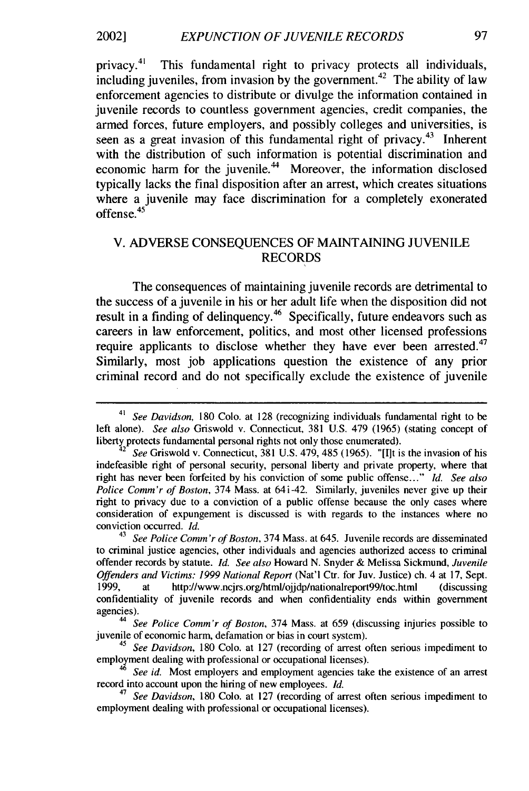privacy. $41$ This fundamental right to privacy protects all individuals, including juveniles, from invasion by the government.<sup>42</sup> The ability of law enforcement agencies to distribute or divulge the information contained in juvenile records to countless government agencies, credit companies, the armed forces, future employers, and possibly colleges and universities, is seen as a great invasion of this fundamental right of privacy.<sup>43</sup> Inherent with the distribution of such information is potential discrimination and economic harm for the juvenile.<sup>44</sup> Moreover, the information disclosed typically lacks the final disposition after an arrest, which creates situations where a juvenile may face discrimination for a completely exonerated offense.<sup>45</sup>

## V. ADVERSE CONSEQUENCES OF MAINTAINING JUVENILE RECORDS

The consequences of maintaining juvenile records are detrimental to the success of a juvenile in his or her adult life when the disposition did not result in a finding of delinquency.<sup>46</sup> Specifically, future endeavors such as careers in law enforcement, politics, and most other licensed professions require applicants to disclose whether they have ever been arrested.<sup>47</sup> Similarly, most job applications question the existence of any prior criminal record and do not specifically exclude the existence of juvenile

<sup>41</sup> *See Davidson,* 180 Colo. at 128 (recognizing individuals fundamental right to be left alone). *See also* Griswold v. Connecticut, 381 U.S. 479 (1965) (stating concept of liberty protects fundamental personal rights not only those enumerated).

*<sup>2</sup> See* Griswold v. Connecticut, 381 U.S. 479, 485 (1965). "[I]t is the invasion of his indefeasible right of personal security, personal liberty and private property, where that right has never been forfeited by his conviction of some public offense..." *Id. See also Police Comm'r of Boston,* 374 Mass. at 641-42. Similarly, juveniles never give up their right to privacy due to a conviction of a public offense because the only cases where consideration of expungement is discussed is with regards to the instances where no conviction occurred. *Id.*

<sup>43</sup>*See Police Comm'r of Boston,* 374 Mass. at 645. Juvenile records are disseminated to criminal justice agencies, other individuals and agencies authorized access to criminal offender records by statute. *Id. See also* Howard N. Snyder & Melissa Sickmund, *Juvenile Offenders and Victims: 1999 National Report* (Nat'l Ctr. for Juv. Justice) ch. 4 at 17, Sept. 1999, at http://www.ncjrs.org/html/ojjdp/nationalreport99/toc.html (discussing confidentiality of juvenile records and when confidentiality ends within government agencies).

*<sup>44</sup>See Police Comm'r of Boston,* 374 Mass. at 659 (discussing injuries possible to juvenile of economic harm, defamation or bias in court system).

*<sup>45</sup>See Davidson,* 180 Colo. at 127 (recording of arrest often serious impediment to employment dealing with professional or occupational licenses).<br><sup>46</sup> *See id.* Most employers and employment agencies take the existence of an arrest

record into account upon the hiring of new employees. *Id.*

*<sup>47</sup>See Davidson,* 180 Colo. at 127 (recording of arrest often serious impediment to employment dealing with professional or occupational licenses).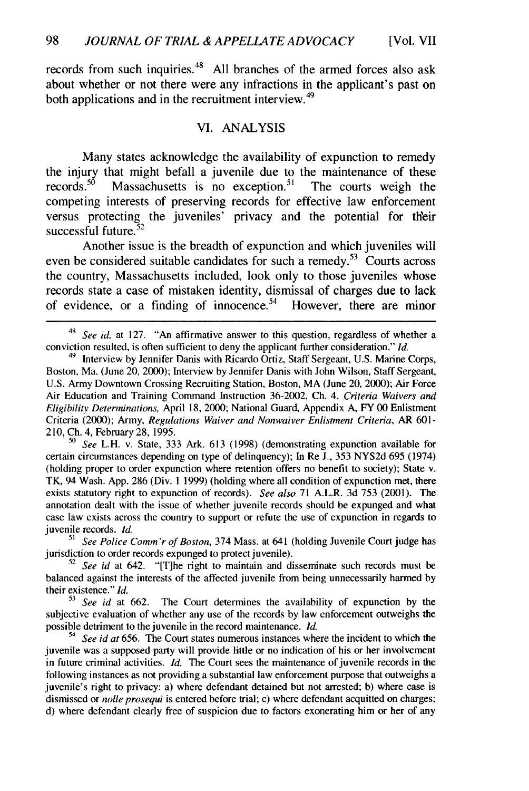records from such inquiries. $48$  All branches of the armed forces also ask about whether or not there were any infractions in the applicant's past on both applications and in the recruitment interview.<sup>49</sup>

#### VI. ANALYSIS

Many states acknowledge the availability of expunction to remedy the injury that might befall a juvenile due to the maintenance of these records.<sup>50</sup> Massachusetts is no exception.<sup>51</sup> The courts weigh the Massachusetts is no exception.<sup>51</sup> The courts weigh the competing interests of preserving records for effective law enforcement versus protecting the juveniles' privacy and the potential for their successful future. $52$ 

Another issue is the breadth of expunction and which juveniles will even be considered suitable candidates for such a remedy.<sup>53</sup> Courts across the country, Massachusetts included, look only to those juveniles whose records state a case of mistaken identity, dismissal of charges due to lack of evidence, or a finding of innocence.<sup>54</sup> However, there are minor

*<sup>50</sup>See* L.H. v. State, 333 Ark. 613 (1998) (demonstrating expunction available for certain circumstances depending on type of delinquency); In Re J., 353 NYS2d 695 (1974) (holding proper to order expunction where retention offers no benefit to society); State v. TK, 94 Wash. App. 286 (Div. **1** 1999) (holding where all condition of expunction met, there exists statutory right to expunction of records). *See also* 71 A.L.R. 3d 753 (2001). The annotation dealt with the issue of whether juvenile records should be expunged and what case law exists across the country to support or refute the use of expunction in regards to juvenile records. *Id.*

*<sup>51</sup>See Police Comm'r of Boston,* 374 Mass. at 641 (holding Juvenile Court judge has jurisdiction to order records expunged to protect juvenile).

<sup>52</sup>*See id* at 642. "[T]he right to maintain and disseminate such records must be balanced against the interests of the affected juvenile from being unnecessarily harmed by their existence."  $Id$ .<br> $53 \text{ See } id$  at 662.

The Court determines the availability of expunction by the subjective evaluation of whether any use of the records by law enforcement outweighs the possible detriment to the juvenile in the record maintenance. *Id.*

<sup>54</sup> *See id at* 656. The Court states numerous instances where the incident to which the juvenile was a supposed party will provide little or no indication of his or her involvement in future criminal activities. *Id.* The Court sees the maintenance of juvenile records in the following instances as not providing a substantial law enforcement purpose that outweighs a juvenile's right to privacy: a) where defendant detained but not arrested; b) where case is dismissed or *nolle prosequi* is entered before trial; c) where defendant acquitted on charges; d) where defendant clearly free of suspicion due to factors exonerating him or her of any

 $48$  See id. at 127. "An affirmative answer to this question, regardless of whether a conviction resulted, is often sufficient to deny the applicant further consideration." *Id.*

<sup>&</sup>lt;sup>49</sup> Interview by Jennifer Danis with Ricardo Ortiz, Staff Sergeant, U.S. Marine Corps, Boston, Ma. (June 20, 2000); Interview by Jennifer Danis with John Wilson, Staff Sergeant, U.S. Army Downtown Crossing Recruiting Station, Boston, MA (June 20, 2000); Air Force Air Education and Training Command Instruction 36-2002, Ch. 4, *Criteria Waivers and Eligibility Determinations,* April 18, 2000; National Guard, Appendix A, FY 00 Enlistment Criteria (2000); Army, *Regulations Waiver and Nonwaiver Enlistment Criteria,* AR 601- 210, Ch. 4, February 28, 1995.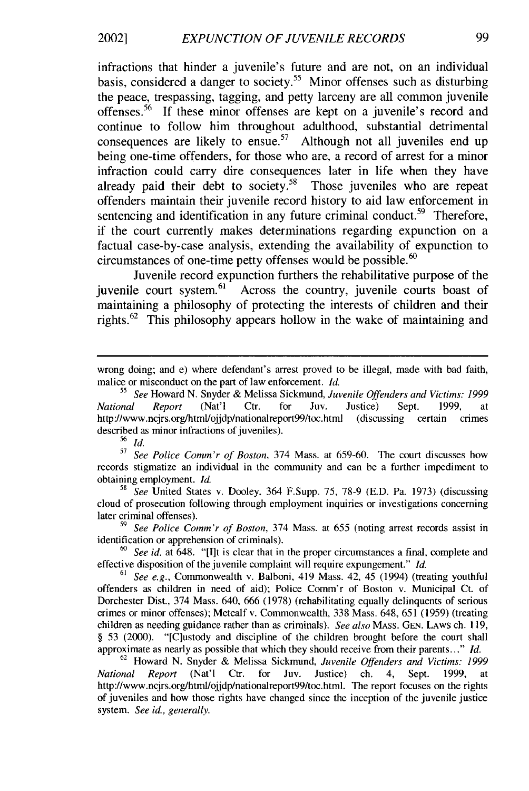infractions that hinder a juvenile's future and are not, on an individual basis, considered a danger to society.<sup>55</sup> Minor offenses such as disturbing the peace, trespassing, tagging, and petty larceny are all common juvenile offenses.<sup>56</sup> If these minor offenses are kept on a juvenile's record and continue to follow him throughout adulthood, substantial detrimental consequences are likely to ensue.<sup>57</sup> Although not all juveniles end up being one-time offenders, for those who are, a record of arrest for a minor infraction could carry dire consequences later in life when they have already paid their debt to society.<sup>58</sup> Those juveniles who are repeat offenders maintain their juvenile record history to aid law enforcement in sentencing and identification in any future criminal conduct.<sup>59</sup> Therefore, if the court currently makes determinations regarding expunction on a factual case-by-case analysis, extending the availability of expunction to circumstances of one-time petty offenses would be possible.<sup>60</sup>

Juvenile record expunction furthers the rehabilitative purpose of the juvenile court system.<sup>61</sup> Across the country, juvenile courts boast of maintaining a philosophy of protecting the interests of children and their rights.62 This philosophy appears hollow in the wake of maintaining and

56 **ld.**

*<sup>57</sup>See Police Comm'r of Boston,* 374 Mass. at 659-60. The court discusses how records stigmatize an individual in the community and can be a further impediment to obtaining employment. *Id.*

*<sup>58</sup>See* United States v. Dooley. 364 F.Supp. 75, 78-9 (E.D. Pa. 1973) (discussing cloud of prosecution following through employment inquiries or investigations concerning later criminal offenses).

*<sup>59</sup>See Police Comm'r of Boston,* 374 Mass. at 655 (noting arrest records assist in identification or apprehension of criminals).

*<sup>60</sup>See id.* at 648. "[lIt is clear that in the proper circumstances a final, complete and effective disposition of the juvenile complaint will require expungement." *Id.*

*<sup>61</sup>See e.g.,* Commonwealth v. Balboni, 419 Mass. 42, 45 (1994) (treating youthful offenders as children in need of aid); Police Comm'r of Boston v. Municipal Ct. of Dorchester Dist., 374 Mass. 640, 666 (1978) (rehabilitating equally delinquents of serious crimes or minor offenses); Metcalf v. Commonwealth, 338 Mass. 648, 651 (1959) (treating children as needing guidance rather than as criminals). *See also* MASS. GEN. LAWS ch. 119, § 53 (2000). "[Clustody and discipline of the children brought before the court shall approximate as nearly as possible that which they should receive from their parents..." *Id.*

<sup>62</sup> Howard N. Snyder & Melissa Sickmund, *Juvenile Offenders and Victims: 1999 National Report* (Nat'l Ctr. for Juv. Justice) ch. 4, Sept. 1999, at http://www.ncjrs.org/html/ojjdp/nationalreport99/toc.html. The report focuses on the rights of juveniles and how those rights have changed since the inception of the juvenile justice system. *See id., generally.*

wrong doing; and e) where defendant's arrest proved to be illegal, made with bad faith, malice or misconduct on the part of law enforcement. *Id.*

*<sup>&</sup>quot; See* Howard N. Snyder & Melissa Sickmund, *Juvenile Offenders and Victims: 1999 National Report* (Nat'l Ctr. for Juv. Justice) Sept. 1999, at http://www.ncjrs.org/html/ojjdp/nationalreport99/toc.html (discussing certain crimes described as minor infractions of juveniles).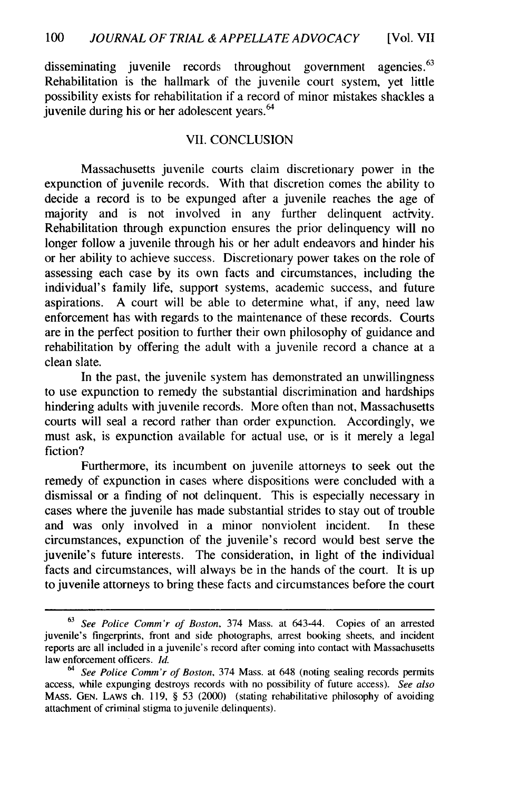disseminating juvenile records throughout government agencies.<sup>63</sup> Rehabilitation is the hallmark of the juvenile court system, yet little possibility exists for rehabilitation if a record of minor mistakes shackles a juvenile during his or her adolescent years. <sup>64</sup>

#### VII. CONCLUSION

Massachusetts juvenile courts claim discretionary power in the expunction of juvenile records. With that discretion comes the ability to decide a record is to be expunged after a juvenile reaches the age of majority and is not involved in any further delinquent activity. Rehabilitation through expunction ensures the prior delinquency will no longer follow a juvenile through his or her adult endeavors and hinder his or her ability to achieve success. Discretionary power takes on the role of assessing each case by its own facts and circumstances, including the individual's family life, support systems, academic success, and future aspirations. A court will be able to determine what, if any, need law enforcement has with regards to the maintenance of these records. Courts are in the perfect position to further their own philosophy of guidance and rehabilitation by offering the adult with a juvenile record a chance at a clean slate.

In the past, the juvenile system has demonstrated an unwillingness to use expunction to remedy the substantial discrimination and hardships hindering adults with juvenile records. More often than not, Massachusetts courts will seal a record rather than order expunction. Accordingly, we must ask, is expunction available for actual use, or is it merely a legal fiction?

Furthermore, its incumbent on juvenile attorneys to seek out the remedy of expunction in cases where dispositions were concluded with a dismissal or a finding of not delinquent. This is especially necessary in cases where the juvenile has made substantial strides to stay out of trouble and was only involved in a minor nonviolent incident. In these circumstances, expunction of the juvenile's record would best serve the juvenile's future interests. The consideration, in light of the individual facts and circumstances, will always be in the hands of the court. It is up to juvenile attorneys to bring these facts and circumstances before the court

**<sup>63</sup>***See Police Comm'r of Boston,* 374 Mass. at 643-44. Copies of an arrested juvenile's fingerprints, front and side photographs, arrest booking sheets, and incident reports are all included in a juvenile's record after coming into contact with Massachusetts law enforcement officers. *Id.*

*<sup>64</sup>See Police Comm'r of Boston,* 374 Mass. at 648 (noting sealing records permits access, while expunging destroys records with no possibility of future access). *See also* MASS. **GEN.** LAWS ch. 119, § 53 (2000) (stating rehabilitative philosophy of avoiding attachment of criminal stigma to juvenile delinquents).